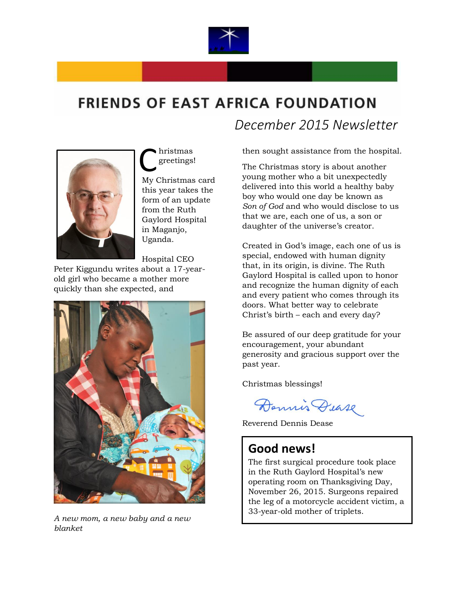

## **FRIENDS OF EAST AFRICA FOUNDATION**



hristmas greetings! Christmas<br>
My Christmas card

this year takes the form of an update from the Ruth Gaylord Hospital in Maganjo, Uganda.

Hospital CEO

Peter Kiggundu writes about a 17-yearold girl who became a mother more quickly than she expected, and



*A new mom, a new baby and a new blanket*

 *December 2015 Newsletter*

then sought assistance from the hospital.

The Christmas story is about another young mother who a bit unexpectedly delivered into this world a healthy baby boy who would one day be known as *Son of God* and who would disclose to us that we are, each one of us, a son or daughter of the universe's creator.

Created in God's image, each one of us is special, endowed with human dignity that, in its origin, is divine. The Ruth Gaylord Hospital is called upon to honor and recognize the human dignity of each and every patient who comes through its doors. What better way to celebrate Christ's birth – each and every day?

Be assured of our deep gratitude for your encouragement, your abundant generosity and gracious support over the past year.

Christmas blessings!

Dennis Dease

Reverend Dennis Dease

## **Good news!**

The first surgical procedure took place in the Ruth Gaylord Hospital's new operating room on Thanksgiving Day, November 26, 2015. Surgeons repaired the leg of a motorcycle accident victim, a 33-year-old mother of triplets.